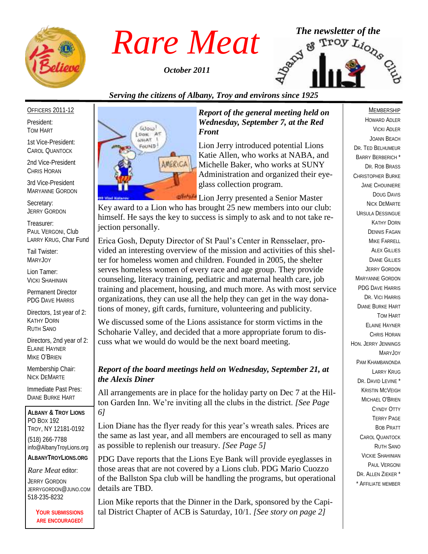

*October 2011*



## *Serving the citizens of Albany, Troy and environs since 1925*

#### OFFICERS 2011-12

President: TOM HART

1st Vice-President: CAROL QUANTOCK

2nd Vice-President CHRIS HORAN

3rd Vice-President MARYANNE GORDON

Secretary: JERRY GORDON

Treasurer: PAUL VERGONI, Club LARRY KRUG, Char Fund

Tail Twister: MARYJOY

Lion Tamer: VICKI SHAHINIAN

Permanent Director PDG DAVE HARRIS

Directors, 1st year of 2: KATHY DORN RUTH SANO

Directors, 2nd year of 2: ELAINE HAYNER MIKE O'BRIEN

Membership Chair: NICK DEMARTE

Immediate Past Pres: DIANE BURKE HART

**ALBANY & TROY LIONS** PO BOX 192 TROY, NY 12181-0192 (518) 266-7788 info@AlbanyTroyLions.org **ALBANYTROYLIONS.ORG**

#### *Rare Meat* editor:

JERRY GORDON JERRYGORDON@JUNO.COM 518-235-8232

> **YOUR SUBMISSIONS ARE ENCOURAGED!**



#### *Report of the general meeting held on Wednesday, September 7, at the Red Front*

Lion Jerry introduced potential Lions Katie Allen, who works at NABA, and Michelle Baker, who works at SUNY Administration and organized their eyeglass collection program.

Lion Jerry presented a Senior Master

Key award to a Lion who has brought 25 new members into our club: himself. He says the key to success is simply to ask and to not take rejection personally.

Erica Gosh, Deputy Director of St Paul's Center in Rensselaer, provided an interesting overview of the mission and activities of this shelter for homeless women and children. Founded in 2005, the shelter serves homeless women of every race and age group. They provide counseling, literacy training, pediatric and maternal health care, job training and placement, housing, and much more. As with most service organizations, they can use all the help they can get in the way donations of money, gift cards, furniture, volunteering and publicity.

We discussed some of the Lions assistance for storm victims in the Schoharie Valley, and decided that a more appropriate forum to discuss what we would do would be the next board meeting.

#### *Report of the board meetings held on Wednesday, September 21, at the Alexis Diner*

All arrangements are in place for the holiday party on Dec 7 at the Hilton Garden Inn. We're inviting all the clubs in the district. *[See Page 6]*

Lion Diane has the flyer ready for this year's wreath sales. Prices are the same as last year, and all members are encouraged to sell as many as possible to replenish our treasury. *[See Page 5]*

PDG Dave reports that the Lions Eye Bank will provide eyeglasses in those areas that are not covered by a Lions club. PDG Mario Cuozzo of the Ballston Spa club will be handling the programs, but operational details are TBD.

Lion Mike reports that the Dinner in the Dark, sponsored by the Capital District Chapter of ACB is Saturday, 10/1. *[See story on page 2]*

#### MEMBERSHIP

HOWARD ADLER VICKI ADLER JOANN BEACH DR. TED BELHUMEUR BARRY BERBERICH \* DR. ROB BRASS CHRISTOPHER BURKE JANE CHOUINIERE DOUG DAVIS NICK DEMARTE URSULA DESSINGUE KATHY DORN DENNIS FAGAN MIKE FARRELL ALEX GILLIES DIANE GILLIES JERRY GORDON MARYANNE GORDON PDG DAVE HARRIS DR. VICI HARRIS DIANE BURKE HART TOM HART ELAINE HAYNER CHRIS HORAN HON. JERRY JENNINGS MARYJOY PAM KHAMBANONDA LARRY KRUG DR. DAVID LEVINE \* KRISTIN MCVEIGH MICHAEL O'BRIEN CYNDY OTTY TERRY PAGE BOB PRATT CAROL QUANTOCK RUTH SANO VICKIE SHAHINIAN PAUL VERGONI DR. ALLEN ZIEKER \* \* AFFILIATE MEMBER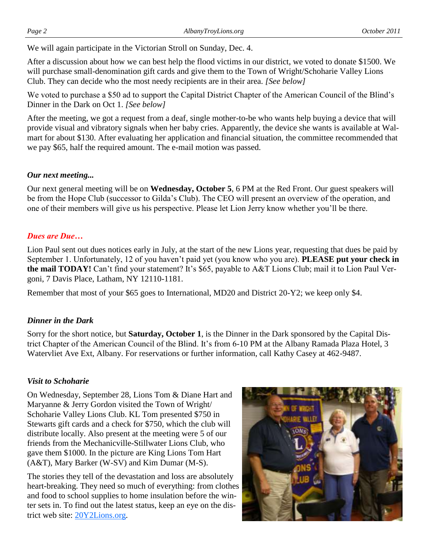We will again participate in the Victorian Stroll on Sunday, Dec. 4.

After a discussion about how we can best help the flood victims in our district, we voted to donate \$1500. We will purchase small-denomination gift cards and give them to the Town of Wright/Schoharie Valley Lions Club. They can decide who the most needy recipients are in their area. *[See below]*

We voted to purchase a \$50 ad to support the Capital District Chapter of the American Council of the Blind's Dinner in the Dark on Oct 1. *[See below]*

After the meeting, we got a request from a deaf, single mother-to-be who wants help buying a device that will provide visual and vibratory signals when her baby cries. Apparently, the device she wants is available at Walmart for about \$130. After evaluating her application and financial situation, the committee recommended that we pay \$65, half the required amount. The e-mail motion was passed.

#### *Our next meeting...*

Our next general meeting will be on **Wednesday, October 5**, 6 PM at the Red Front. Our guest speakers will be from the Hope Club (successor to Gilda's Club). The CEO will present an overview of the operation, and one of their members will give us his perspective. Please let Lion Jerry know whether you'll be there.

#### *Dues are Due…*

Lion Paul sent out dues notices early in July, at the start of the new Lions year, requesting that dues be paid by September 1. Unfortunately, 12 of you haven't paid yet (you know who you are). **PLEASE put your check in the mail TODAY!** Can't find your statement? It's \$65, payable to A&T Lions Club; mail it to Lion Paul Vergoni, 7 Davis Place, Latham, NY 12110-1181.

Remember that most of your \$65 goes to International, MD20 and District 20-Y2; we keep only \$4.

#### *Dinner in the Dark*

Sorry for the short notice, but **Saturday, October 1**, is the Dinner in the Dark sponsored by the Capital District Chapter of the American Council of the Blind. It's from 6-10 PM at the Albany Ramada Plaza Hotel, 3 Watervliet Ave Ext, Albany. For reservations or further information, call Kathy Casey at 462-9487.

#### *Visit to Schoharie*

On Wednesday, September 28, Lions Tom & Diane Hart and Maryanne & Jerry Gordon visited the Town of Wright/ Schoharie Valley Lions Club. KL Tom presented \$750 in Stewarts gift cards and a check for \$750, which the club will distribute locally. Also present at the meeting were 5 of our friends from the Mechanicville-Stillwater Lions Club, who gave them \$1000. In the picture are King Lions Tom Hart (A&T), Mary Barker (W-SV) and Kim Dumar (M-S).

The stories they tell of the devastation and loss are absolutely heart-breaking. They need so much of everything: from clothes and food to school supplies to home insulation before the winter sets in. To find out the latest status, keep an eye on the district web site: [20Y2Lions.org.](http://20Y2Lions.org)

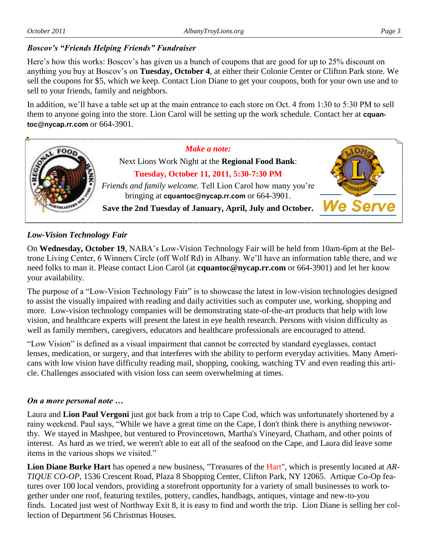#### *Boscov's "Friends Helping Friends" Fundraiser*

Here's how this works: Boscov's has given us a bunch of coupons that are good for up to 25% discount on anything you buy at Boscov's on **Tuesday, October 4**, at either their Colonie Center or Clifton Park store. We sell the coupons for \$5, which we keep. Contact Lion Diane to get your coupons, both for your own use and to sell to your friends, family and neighbors.

In addition, we'll have a table set up at the main entrance to each store on Oct. 4 from 1:30 to 5:30 PM to sell them to anyone going into the store. Lion Carol will be setting up the work schedule. Contact her at **cquantoc@nycap.rr.com** or 664-3901.



#### *Low-Vision Technology Fair*

On **Wednesday, October 19**, NABA's Low-Vision Technology Fair will be held from 10am-6pm at the Beltrone Living Center, 6 Winners Circle (off Wolf Rd) in Albany. We'll have an information table there, and we need folks to man it. Please contact Lion Carol (at **cquantoc@nycap.rr.com** or 664-3901) and let her know your availability.

The purpose of a "Low-Vision Technology Fair" is to showcase the latest in low-vision technologies designed to assist the visually impaired with reading and daily activities such as computer use, working, shopping and more. Low-vision technology companies will be demonstrating state-of-the-art products that help with low vision, and healthcare experts will present the latest in eye health research. Persons with vision difficulty as well as family members, caregivers, educators and healthcare professionals are encouraged to attend.

"Low Vision" is defined as a visual impairment that cannot be corrected by standard eyeglasses, contact lenses, medication, or surgery, and that interferes with the ability to perform everyday activities. Many Americans with low vision have difficulty reading mail, shopping, cooking, watching TV and even reading this article. Challenges associated with vision loss can seem overwhelming at times.

#### *On a more personal note …*

Laura and **Lion Paul Vergoni** just got back from a trip to Cape Cod, which was unfortunately shortened by a rainy weekend. Paul says, "While we have a great time on the Cape, I don't think there is anything newsworthy. We stayed in Mashpee, but ventured to Provincetown, Martha's Vineyard, Chatham, and other points of interest. As hard as we tried, we weren't able to eat all of the seafood on the Cape, and Laura did leave some items in the various shops we visited."

**Lion Diane Burke Hart** has opened a new business, "Treasures of the Hart", which is presently located at *AR-TIQUE CO-OP,* 1536 Crescent Road, Plaza 8 Shopping Center, Clifton Park, NY 12065. Artique Co-Op features over 100 local vendors, providing a storefront opportunity for a variety of small businesses to work together under one roof, featuring textiles, pottery, candles, handbags, antiques, vintage and new-to-you finds. Located just west of Northway Exit 8, it is easy to find and worth the trip. Lion Diane is selling her collection of Department 56 Christmas Houses.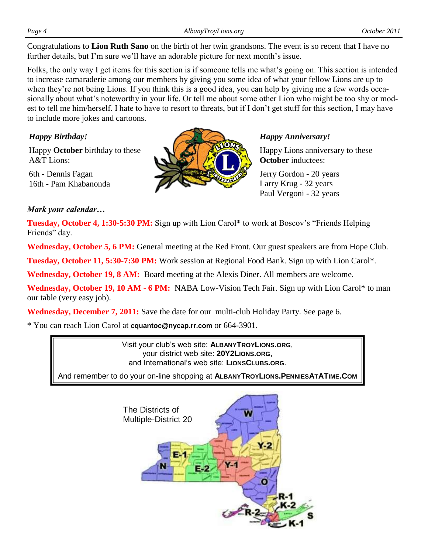Congratulations to **Lion Ruth Sano** on the birth of her twin grandsons. The event is so recent that I have no further details, but I'm sure we'll have an adorable picture for next month's issue.

Folks, the only way I get items for this section is if someone tells me what's going on. This section is intended to increase camaraderie among our members by giving you some idea of what your fellow Lions are up to when they're not being Lions. If you think this is a good idea, you can help by giving me a few words occasionally about what's noteworthy in your life. Or tell me about some other Lion who might be too shy or modest to tell me him/herself. I hate to have to resort to threats, but if I don't get stuff for this section, I may have to include more jokes and cartoons.

### *Happy Birthday!*

Happy **October** birthday to these A&T Lions:

6th - Dennis Fagan 16th - Pam Khabanonda

#### *Mark your calendar…*

**Tuesday, October 4, 1:30-5:30 PM:** Sign up with Lion Carol\* to work at Boscov's "Friends Helping Friends" day.

**Wednesday, October 5, 6 PM:** General meeting at the Red Front. Our guest speakers are from Hope Club.

**Tuesday, October 11, 5:30-7:30 PM:** Work session at Regional Food Bank. Sign up with Lion Carol\*.

**Wednesday, October 19, 8 AM:** Board meeting at the Alexis Diner. All members are welcome.

**Wednesday, October 19, 10 AM - 6 PM:** NABA Low-Vision Tech Fair. Sign up with Lion Carol\* to man our table (very easy job).

**Wednesday, December 7, 2011:** Save the date for our multi-club Holiday Party. See page 6.

\* You can reach Lion Carol at **cquantoc@nycap.rr.com** or 664-3901.

Visit your club's web site: **ALBANYTROYLIONS.ORG**, your district web site: **20Y2LIONS.ORG**, and International's web site: **LIONSCLUBS.ORG**. And remember to do your on-line shopping at **ALBANYTROYLIONS.PENNIESATATIME.COM**





*Happy Anniversary!* Happy Lions anniversary to these

**October** inductees:

Jerry Gordon - 20 years Larry Krug - 32 years Paul Vergoni - 32 years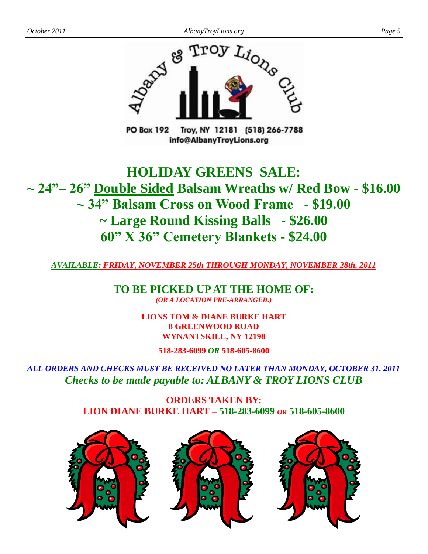

info@AlbanyTrovLions.org

## **HOLIDAY GREENS SALE: ~ 24"– 26" Double Sided Balsam Wreaths w/ Red Bow - \$16.00 ~ 34" Balsam Cross on Wood Frame - \$19.00 ~ Large Round Kissing Balls - \$26.00 60" X 36" Cemetery Blankets - \$24.00**

*AVAILABLE: FRIDAY, NOVEMBER 25th THROUGH MONDAY, NOVEMBER 28th, 2011*

**TO BE PICKED UP AT THE HOME OF:** *(OR A LOCATION PRE-ARRANGED.)*

> **LIONS TOM & DIANE BURKE HART 8 GREENWOOD ROAD WYNANTSKILL, NY 12198**

> > **518-283-6099** *OR* **518-605-8600**

*ALL ORDERS AND CHECKS MUST BE RECEIVED NO LATER THAN MONDAY, OCTOBER 31, 2011 Checks to be made payable to: ALBANY & TROY LIONS CLUB*

> **ORDERS TAKEN BY: LION DIANE BURKE HART – 518-283-6099** *OR* **518-605-8600**